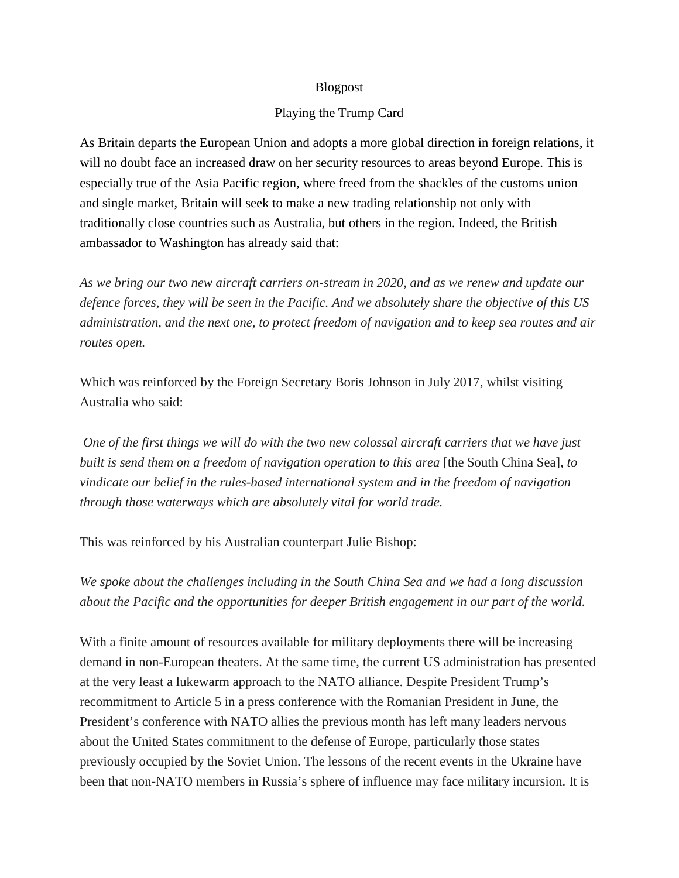## Blogpost

## Playing the Trump Card

As Britain departs the European Union and adopts a more global direction in foreign relations, it will no doubt face an increased draw on her security resources to areas beyond Europe. This is especially true of the Asia Pacific region, where freed from the shackles of the customs union and single market, Britain will seek to make a new trading relationship not only with traditionally close countries such as Australia, but others in the region. Indeed, the British ambassador to Washington has already said that:

*As we bring our two new aircraft carriers on-stream in 2020, and as we renew and update our defence forces, they will be seen in the Pacific. And we absolutely share the objective of this US administration, and the next one, to protect freedom of navigation and to keep sea routes and air routes open.*

Which was reinforced by the Foreign Secretary Boris Johnson in July 2017, whilst visiting Australia who said:

*One of the first things we will do with the two new colossal aircraft carriers that we have just built is send them on a freedom of navigation operation to this area* [the South China Sea]*, to vindicate our belief in the rules-based international system and in the freedom of navigation through those waterways which are absolutely vital for world trade.*

This was reinforced by his Australian counterpart Julie Bishop:

*We spoke about the challenges including in the South China Sea and we had a long discussion about the Pacific and the opportunities for deeper British engagement in our part of the world.*

With a finite amount of resources available for military deployments there will be increasing demand in non-European theaters. At the same time, the current US administration has presented at the very least a lukewarm approach to the NATO alliance. Despite President Trump's recommitment to Article 5 in a press conference with the Romanian President in June, the President's conference with NATO allies the previous month has left many leaders nervous about the United States commitment to the defense of Europe, particularly those states previously occupied by the Soviet Union. The lessons of the recent events in the Ukraine have been that non-NATO members in Russia's sphere of influence may face military incursion. It is